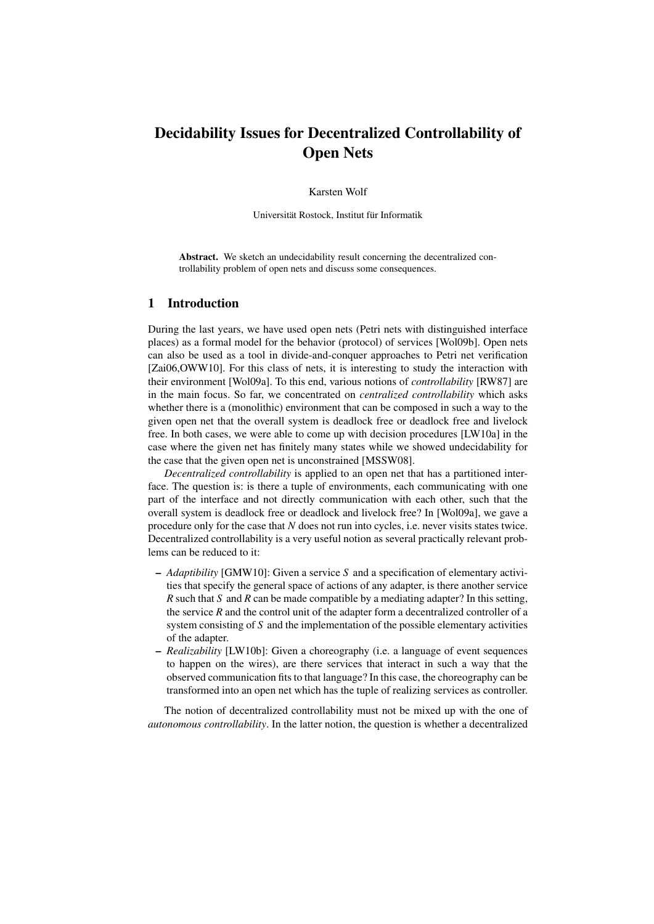# Decidability Issues for Decentralized Controllability of Open Nets

Karsten Wolf

Universität Rostock, Institut für Informatik

Abstract. We sketch an undecidability result concerning the decentralized controllability problem of open nets and discuss some consequences.

#### 1 Introduction

During the last years, we have used open nets (Petri nets with distinguished interface places) as a formal model for the behavior (protocol) of services [Wol09b]. Open nets can also be used as a tool in divide-and-conquer approaches to Petri net verification [Zai06,OWW10]. For this class of nets, it is interesting to study the interaction with their environment [Wol09a]. To this end, various notions of *controllability* [RW87] are in the main focus. So far, we concentrated on *centralized controllability* which asks whether there is a (monolithic) environment that can be composed in such a way to the given open net that the overall system is deadlock free or deadlock free and livelock free. In both cases, we were able to come up with decision procedures [LW10a] in the case where the given net has finitely many states while we showed undecidability for the case that the given open net is unconstrained [MSSW08].

*Decentralized controllability* is applied to an open net that has a partitioned interface. The question is: is there a tuple of environments, each communicating with one part of the interface and not directly communication with each other, such that the overall system is deadlock free or deadlock and livelock free? In [Wol09a], we gave a procedure only for the case that *N* does not run into cycles, i.e. never visits states twice. Decentralized controllability is a very useful notion as several practically relevant problems can be reduced to it:

- *Adaptibility* [GMW10]: Given a service *S* and a specification of elementary activities that specify the general space of actions of any adapter, is there another service *R* such that *S* and *R* can be made compatible by a mediating adapter? In this setting, the service *R* and the control unit of the adapter form a decentralized controller of a system consisting of *S* and the implementation of the possible elementary activities of the adapter.
- *Realizability* [LW10b]: Given a choreography (i.e. a language of event sequences to happen on the wires), are there services that interact in such a way that the observed communication fits to that language? In this case, the choreography can be transformed into an open net which has the tuple of realizing services as controller.

The notion of decentralized controllability must not be mixed up with the one of *autonomous controllability*. In the latter notion, the question is whether a decentralized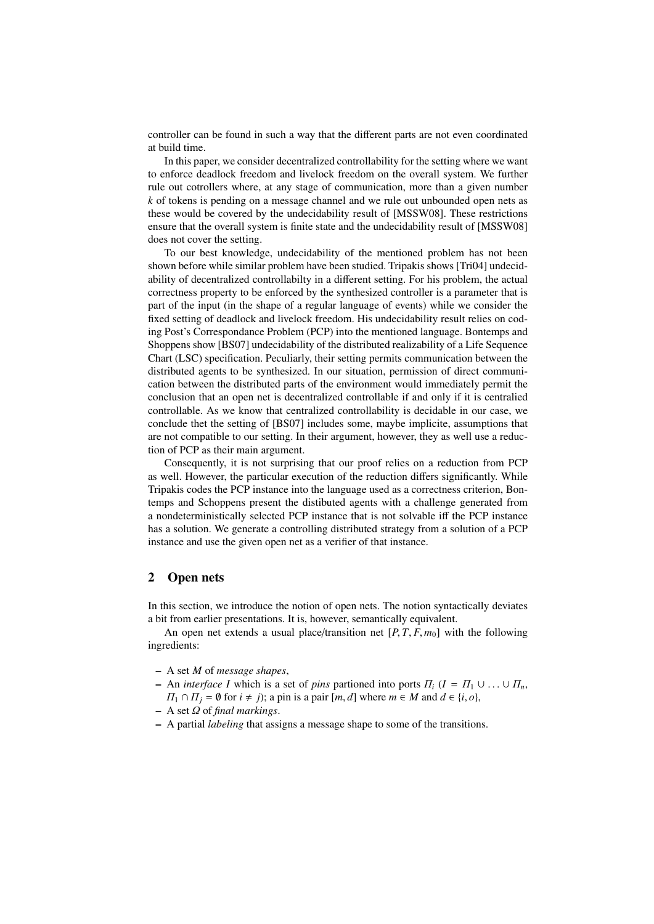controller can be found in such a way that the different parts are not even coordinated at build time.

In this paper, we consider decentralized controllability for the setting where we want to enforce deadlock freedom and livelock freedom on the overall system. We further rule out cotrollers where, at any stage of communication, more than a given number *k* of tokens is pending on a message channel and we rule out unbounded open nets as these would be covered by the undecidability result of [MSSW08]. These restrictions ensure that the overall system is finite state and the undecidability result of [MSSW08] does not cover the setting.

To our best knowledge, undecidability of the mentioned problem has not been shown before while similar problem have been studied. Tripakis shows [Tri04] undecidability of decentralized controllabilty in a different setting. For his problem, the actual correctness property to be enforced by the synthesized controller is a parameter that is part of the input (in the shape of a regular language of events) while we consider the fixed setting of deadlock and livelock freedom. His undecidability result relies on coding Post's Correspondance Problem (PCP) into the mentioned language. Bontemps and Shoppens show [BS07] undecidability of the distributed realizability of a Life Sequence Chart (LSC) specification. Peculiarly, their setting permits communication between the distributed agents to be synthesized. In our situation, permission of direct communication between the distributed parts of the environment would immediately permit the conclusion that an open net is decentralized controllable if and only if it is centralied controllable. As we know that centralized controllability is decidable in our case, we conclude thet the setting of [BS07] includes some, maybe implicite, assumptions that are not compatible to our setting. In their argument, however, they as well use a reduction of PCP as their main argument.

Consequently, it is not surprising that our proof relies on a reduction from PCP as well. However, the particular execution of the reduction differs significantly. While Tripakis codes the PCP instance into the language used as a correctness criterion, Bontemps and Schoppens present the distibuted agents with a challenge generated from a nondeterministically selected PCP instance that is not solvable iff the PCP instance has a solution. We generate a controlling distributed strategy from a solution of a PCP instance and use the given open net as a verifier of that instance.

### 2 Open nets

In this section, we introduce the notion of open nets. The notion syntactically deviates a bit from earlier presentations. It is, however, semantically equivalent.

An open net extends a usual place/transition net  $[P, T, F, m_0]$  with the following ingredients:

- A set *M* of *message shapes*,
- An *interface I* which is a set of *pins* partioned into ports  $\Pi_i$  ( $I = \Pi_1 \cup \ldots \cup \Pi_n$ ,  $\Pi_1 \cap \Pi_j = \emptyset$  for  $i \neq j$ ; a pin is a pair  $[m, d]$  where  $m \in M$  and  $d \in \{i, o\}$ ,
- A set Ω of *final markings*.
- A partial *labeling* that assigns a message shape to some of the transitions.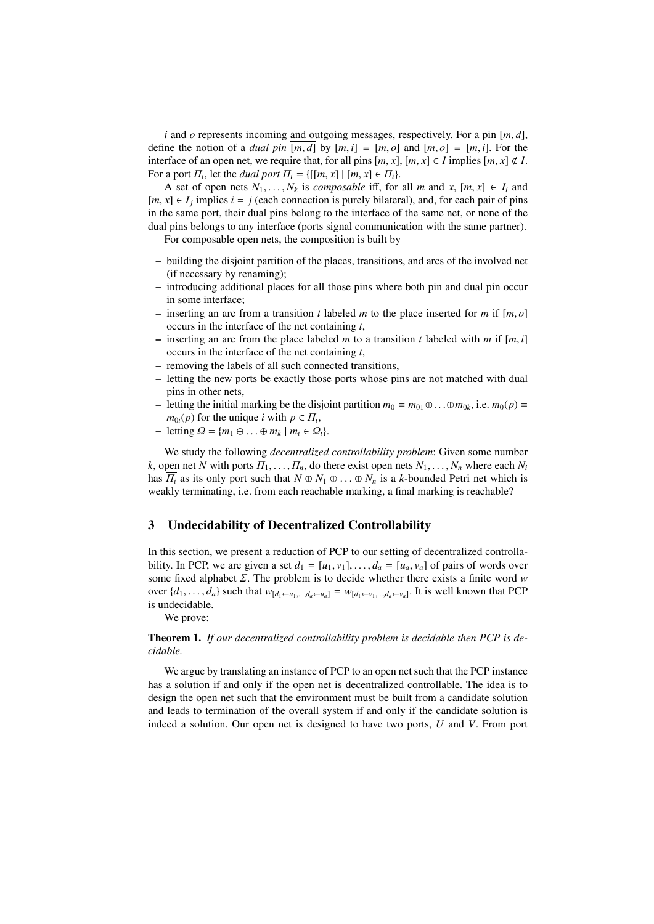*<sup>i</sup>* and *<sup>o</sup>* represents incoming and outgoing messages, respectively. For a pin [*m*, *<sup>d</sup>*], define the notion of a *dual pin*  $[m, d]$  by  $[m, i] = [m, o]$  and  $[m, o] = [m, i]$ . For the interface of an open net, we require that, for all pins  $[m, x]$ ,  $[m, x] \in I$  implies  $\overline{[m, x]} \notin I$ . For a port  $\Pi_i$ , let the *dual port*  $\overline{\Pi_i} = \{[[m, x] \mid [m, x] \in \Pi_i\}$ .<br>A set of open nets *N<sub>i</sub> N<sub>i</sub>* is *composable* iff for

A set of open nets  $N_1, \ldots, N_k$  is *composable* iff, for all *m* and *x*,  $[m, x] \in I_i$  and  $[m, x] \in I_j$  implies  $i = j$  (each connection is purely bilateral), and, for each pair of pins<br>in the same port, their dual pins belong to the interface of the same net, or pone of the in the same port, their dual pins belong to the interface of the same net, or none of the dual pins belongs to any interface (ports signal communication with the same partner).

For composable open nets, the composition is built by

- building the disjoint partition of the places, transitions, and arcs of the involved net (if necessary by renaming);
- introducing additional places for all those pins where both pin and dual pin occur in some interface;
- $-$  inserting an arc from a transition *t* labeled *m* to the place inserted for *m* if  $[m, o]$ occurs in the interface of the net containing *t*,
- inserting an arc from the place labeled *<sup>m</sup>* to a transition *<sup>t</sup>* labeled with *<sup>m</sup>* if [*m*, *<sup>i</sup>*] occurs in the interface of the net containing *t*,
- removing the labels of all such connected transitions,
- letting the new ports be exactly those ports whose pins are not matched with dual pins in other nets,
- letting the initial marking be the disjoint partition  $m_0 = m_{01} ⊕ \dots ⊕ m_{0k}$ , i.e.  $m_0(p) =$ *m*<sub>0*i*</sub>(*p*) for the unique *i* with  $p \in \Pi_i$ ,<br>letting  $Q = \{m_i | m \in \Omega\}$
- $-$  letting  $\Omega = \{m_1 \oplus \ldots \oplus m_k \mid m_i \in \Omega_i\}.$

We study the following *decentralized controllability problem*: Given some number *k*, open net *N* with ports  $\Pi_1, \ldots, \Pi_n$ , do there exist open nets  $N_1, \ldots, N_n$  where each  $N_i$ has  $\overline{H_i}$  as its only port such that  $N \oplus N_1 \oplus ... \oplus N_n$  is a *k*-bounded Petri net which is weakly terminating, i.e. from each reachable marking, a final marking is reachable?

## 3 Undecidability of Decentralized Controllability

In this section, we present a reduction of PCP to our setting of decentralized controllability. In PCP, we are given a set  $d_1 = [u_1, v_1], \ldots, d_a = [u_a, v_a]$  of pairs of words over some fixed alphabet Σ. The problem is to decide whether there exists a finite word *<sup>w</sup>* over  $\{d_1, \ldots, d_a\}$  such that  $w_{[d_1 \leftarrow u_1, \ldots, d_a \leftarrow u_a]} = w_{[d_1 \leftarrow v_1, \ldots, d_a \leftarrow v_a]}$ . It is well known that PCP is undecidable.

We prove:

Theorem 1. *If our decentralized controllability problem is decidable then PCP is decidable.*

We argue by translating an instance of PCP to an open net such that the PCP instance has a solution if and only if the open net is decentralized controllable. The idea is to design the open net such that the environment must be built from a candidate solution and leads to termination of the overall system if and only if the candidate solution is indeed a solution. Our open net is designed to have two ports, *U* and *V*. From port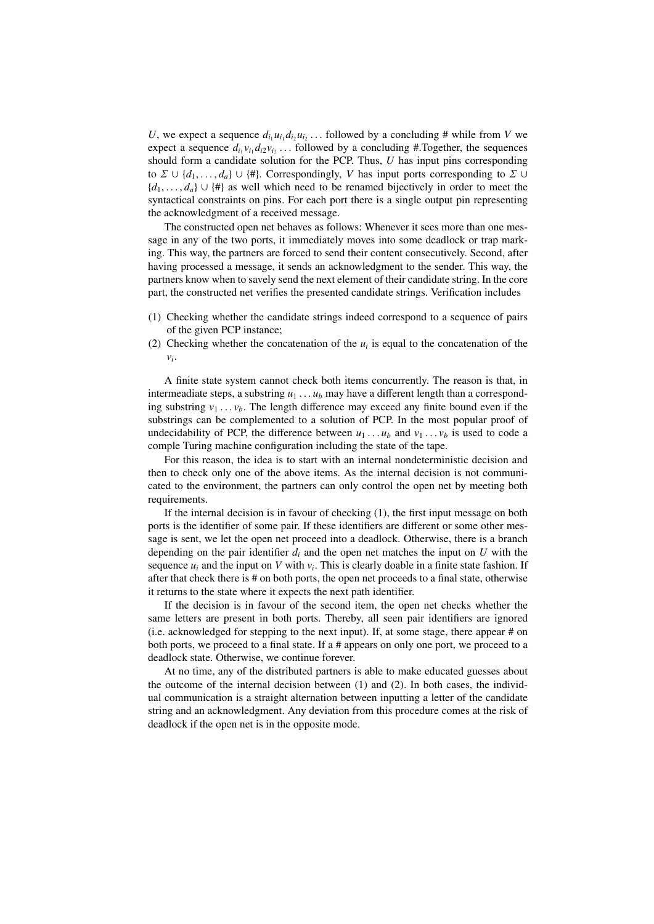*U*, we expect a sequence  $d_i u_i d_i u_i$ , ... followed by a concluding # while from *V* we expect a sequence  $d_i v_i d_i u_i$  followed by a concluding # Together, the sequences expect a sequence  $d_{i_1}v_{i_1}d_{i_2}v_{i_2}$ ... followed by a concluding #.Together, the sequences should form a candidate solution for the PCP. Thus *II* has input pips corresponding should form a candidate solution for the PCP. Thus, *U* has input pins corresponding to  $\Sigma \cup \{d_1, \ldots, d_a\} \cup \{\#\}$ . Correspondingly, *V* has input ports corresponding to  $\Sigma \cup$ {*d*1, . . . , *<sup>d</sup>a*} ∪ {#} as well which need to be renamed bijectively in order to meet the syntactical constraints on pins. For each port there is a single output pin representing the acknowledgment of a received message.

The constructed open net behaves as follows: Whenever it sees more than one message in any of the two ports, it immediately moves into some deadlock or trap marking. This way, the partners are forced to send their content consecutively. Second, after having processed a message, it sends an acknowledgment to the sender. This way, the partners know when to savely send the next element of their candidate string. In the core part, the constructed net verifies the presented candidate strings. Verification includes

- (1) Checking whether the candidate strings indeed correspond to a sequence of pairs of the given PCP instance;
- (2) Checking whether the concatenation of the  $u_i$  is equal to the concatenation of the *vi* .

A finite state system cannot check both items concurrently. The reason is that, in intermeadiate steps, a substring  $u_1 \ldots u_b$  may have a different length than a corresponding substring  $v_1 \ldots v_b$ . The length difference may exceed any finite bound even if the substrings can be complemented to a solution of PCP. In the most popular proof of undecidability of PCP, the difference between  $u_1 \ldots u_b$  and  $v_1 \ldots v_b$  is used to code a comple Turing machine configuration including the state of the tape.

For this reason, the idea is to start with an internal nondeterministic decision and then to check only one of the above items. As the internal decision is not communicated to the environment, the partners can only control the open net by meeting both requirements.

If the internal decision is in favour of checking (1), the first input message on both ports is the identifier of some pair. If these identifiers are different or some other message is sent, we let the open net proceed into a deadlock. Otherwise, there is a branch depending on the pair identifier  $d_i$  and the open net matches the input on  $U$  with the sequence  $u_i$  and the input on *V* with  $v_i$ . This is clearly doable in a finite state fashion. If after that check there is # on both ports, the open net proceeds to a final state, otherwise it returns to the state where it expects the next path identifier.

If the decision is in favour of the second item, the open net checks whether the same letters are present in both ports. Thereby, all seen pair identifiers are ignored (i.e. acknowledged for stepping to the next input). If, at some stage, there appear # on both ports, we proceed to a final state. If a # appears on only one port, we proceed to a deadlock state. Otherwise, we continue forever.

At no time, any of the distributed partners is able to make educated guesses about the outcome of the internal decision between (1) and (2). In both cases, the individual communication is a straight alternation between inputting a letter of the candidate string and an acknowledgment. Any deviation from this procedure comes at the risk of deadlock if the open net is in the opposite mode.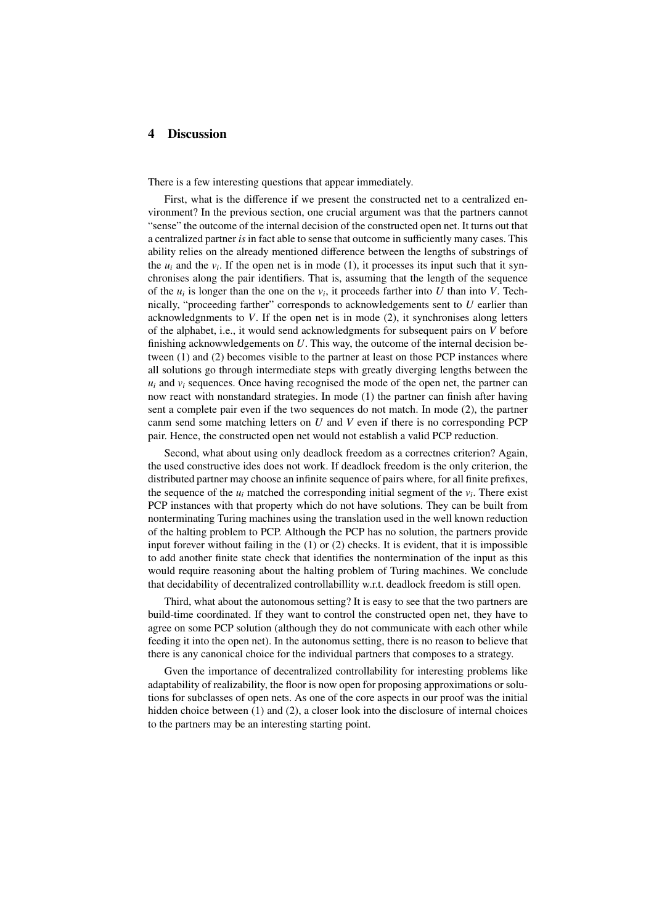## 4 Discussion

There is a few interesting questions that appear immediately.

First, what is the difference if we present the constructed net to a centralized environment? In the previous section, one crucial argument was that the partners cannot "sense" the outcome of the internal decision of the constructed open net. It turns out that a centralized partner *is* in fact able to sense that outcome in sufficiently many cases. This ability relies on the already mentioned difference between the lengths of substrings of the  $u_i$  and the  $v_i$ . If the open net is in mode (1), it processes its input such that it synchronises along the pair identifiers. That is, assuming that the length of the sequence of the  $u_i$  is longer than the one on the  $v_i$ , it proceeds farther into *U* than into *V*. Technically, "proceeding farther" corresponds to acknowledgements sent to *U* earlier than acknowledgnments to *V*. If the open net is in mode (2), it synchronises along letters of the alphabet, i.e., it would send acknowledgments for subsequent pairs on *V* before finishing acknowwledgements on *U*. This way, the outcome of the internal decision between (1) and (2) becomes visible to the partner at least on those PCP instances where all solutions go through intermediate steps with greatly diverging lengths between the  $u_i$  and  $v_i$  sequences. Once having recognised the mode of the open net, the partner can now react with nonstandard strategies. In mode (1) the partner can finish after having sent a complete pair even if the two sequences do not match. In mode (2), the partner canm send some matching letters on *U* and *V* even if there is no corresponding PCP pair. Hence, the constructed open net would not establish a valid PCP reduction.

Second, what about using only deadlock freedom as a correctnes criterion? Again, the used constructive ides does not work. If deadlock freedom is the only criterion, the distributed partner may choose an infinite sequence of pairs where, for all finite prefixes, the sequence of the  $u_i$  matched the corresponding initial segment of the  $v_i$ . There exist PCP instances with that property which do not have solutions. They can be built from nonterminating Turing machines using the translation used in the well known reduction of the halting problem to PCP. Although the PCP has no solution, the partners provide input forever without failing in the (1) or (2) checks. It is evident, that it is impossible to add another finite state check that identifies the nontermination of the input as this would require reasoning about the halting problem of Turing machines. We conclude that decidability of decentralized controllabillity w.r.t. deadlock freedom is still open.

Third, what about the autonomous setting? It is easy to see that the two partners are build-time coordinated. If they want to control the constructed open net, they have to agree on some PCP solution (although they do not communicate with each other while feeding it into the open net). In the autonomus setting, there is no reason to believe that there is any canonical choice for the individual partners that composes to a strategy.

Gven the importance of decentralized controllability for interesting problems like adaptability of realizability, the floor is now open for proposing approximations or solutions for subclasses of open nets. As one of the core aspects in our proof was the initial hidden choice between (1) and (2), a closer look into the disclosure of internal choices to the partners may be an interesting starting point.